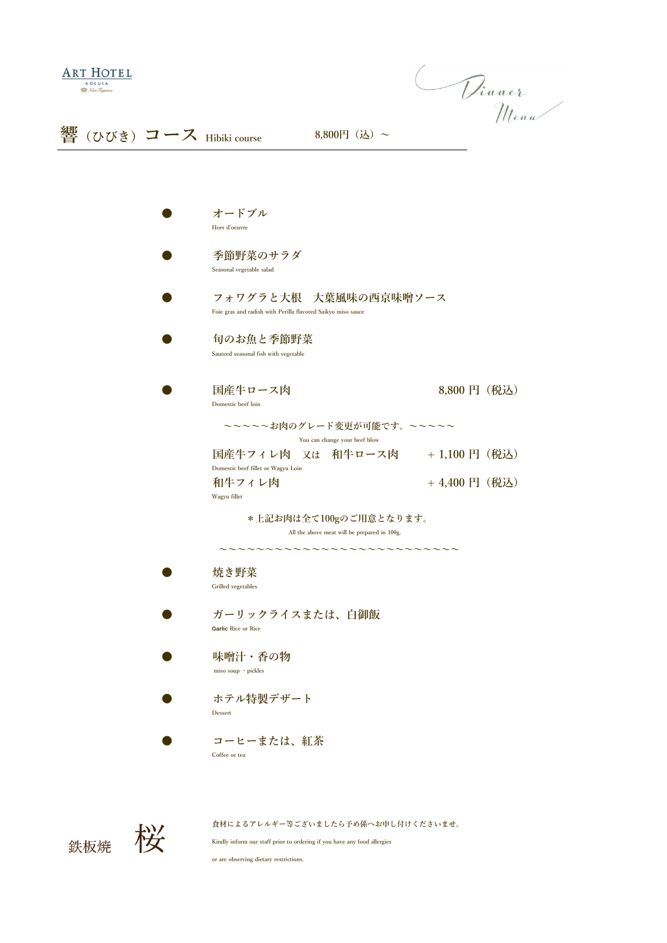Dinner<br>Menu

|                                                                                       | オードブル<br>Hors d'oeuvre                                                                |                 |  |  |
|---------------------------------------------------------------------------------------|---------------------------------------------------------------------------------------|-----------------|--|--|
|                                                                                       | 季節野菜のサラダ<br>Seasonal vegetable salad                                                  |                 |  |  |
|                                                                                       | フォワグラと大根 大葉風味の西京味噌ソース<br>Foie gras and radish with Perilla flavored Saikyo miso sauce |                 |  |  |
|                                                                                       | 旬のお魚と季節野菜<br>Sauteed seasonal fish with vegetable                                     |                 |  |  |
|                                                                                       | 国産牛ロース肉<br>Domestic beef loin                                                         | 8,800 円 (税込)    |  |  |
|                                                                                       | <b>~~~~お肉のグレード変更が可能です。~~~~~</b><br>You can change your beef blow                      |                 |  |  |
|                                                                                       | 国産牛フィレ肉<br>和牛ロース肉<br>又は<br>Domestic beef fillet or Wagyu Loin                         | $+1,100$ 円 (税込) |  |  |
|                                                                                       | 和牛フィレ肉<br>Wagyu fillet                                                                | +4,400円 (税込)    |  |  |
| *上記お肉は全て100gのご用意となります。<br>All the above meat will be prepared in 100g.<br>い~~~~~~~~~~ |                                                                                       |                 |  |  |
|                                                                                       | 焼き野菜<br><b>Grilled</b> vegetables                                                     |                 |  |  |
|                                                                                       | ガーリックライスまたは、白御飯<br><b>Garlic Rice or Rice</b>                                         |                 |  |  |
|                                                                                       | 味噌汁・香の物<br>miso soup · pickles                                                        |                 |  |  |
|                                                                                       | ホテル特製デザート<br>Dessert                                                                  |                 |  |  |
|                                                                                       | コーヒーまたは、紅茶<br>Coffee or tea                                                           |                 |  |  |

桜 鉄板焼

**食材によるアレルギー等ございましたら予め係へお申し付けくださいませ。 Kindly inform our staff prior to ordering if you have any food allergies** 

**or are observing dietary restrictions.**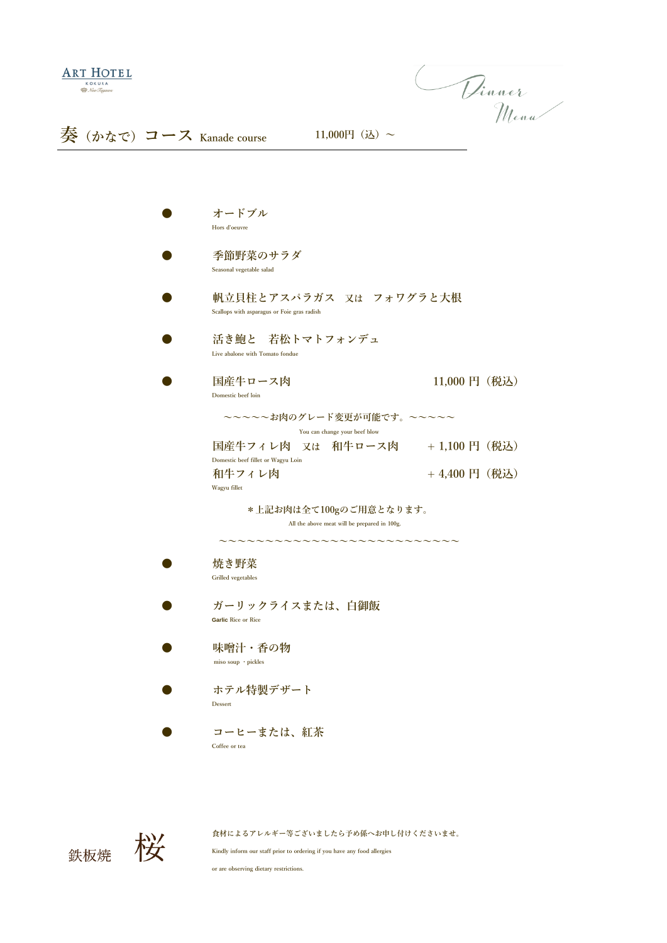Dinner<br>Menu

| オードブル<br>Hors d'oeuvre                                                                                 |                 |  |
|--------------------------------------------------------------------------------------------------------|-----------------|--|
| 季節野菜のサラダ<br>Seasonal vegetable salad                                                                   |                 |  |
| 帆立貝柱とアスパラガス 又は フォワグラと大根<br>Scallops with asparagus or Foie gras radish                                 |                 |  |
| 若松トマトフォンデュ<br>活き鮑と<br>Live abalone with Tomato fondue                                                  |                 |  |
| 国産牛ロース肉<br>Domestic beef loin                                                                          | 11,000 円 (税込)   |  |
| <b>·~~~~お肉のグレード変更が可能です。~~~~~</b><br>You can change your beef blow                                      |                 |  |
| 国産牛フィレ肉<br>和牛ロース肉<br>又は<br>Domestic beef fillet or Wagyu Loin                                          | $+1,100$ 円 (税込) |  |
| 和牛フィレ肉<br>Wagyu fillet                                                                                 | +4,400円 (税込)    |  |
| *上記お肉は全て100gのご用意となります。<br>All the above meat will be prepared in 100g.<br>,,,,,,,,,,,,,,,,,,,,,,,,,,,, |                 |  |
| 焼き野菜<br><b>Grilled</b> vegetables                                                                      |                 |  |
| ガーリックライスまたは、白御飯<br><b>Garlic Rice or Rice</b>                                                          |                 |  |
| 味噌汁・香の物<br>miso soup · pickles                                                                         |                 |  |
| ホテル特製デザート<br>Dessert                                                                                   |                 |  |
| コーヒーまたは、紅茶<br>Coffee or tea                                                                            |                 |  |

**食材によるアレルギー等ございましたら予め係へお申し付けくださいませ。 Kindly inform our staff prior to ordering if you have any food allergies** 

**or are observing dietary restrictions.**